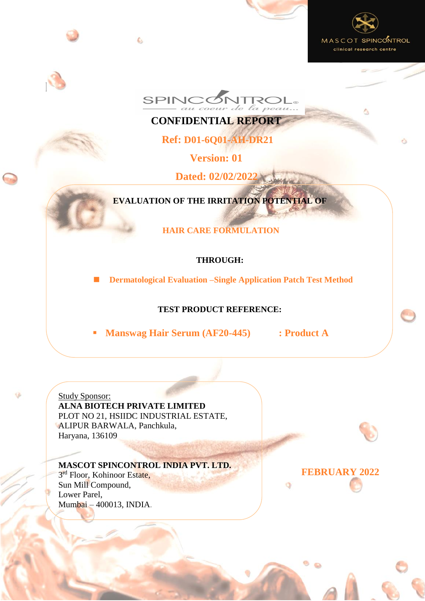





**CONFIDENTIAL REPORT**

**Ref: D01-6Q01-AH-DR21**

**Version: 01**

**Dated: 02/02/2022**

**EVALUATION OF THE IRRITATION POTENTIAL OF**

**HAIR CARE FORMULATION**

# **THROUGH:**

**Dermatological Evaluation –Single Application Patch Test Method**

# **TEST PRODUCT REFERENCE:**

*Product A* 1/ 25 *D01-6Q01-AH-DR21-D01-RA(V01) D:\QA\STUDY DOCUMENTS\D01-6Q01-AH-DR21\D01-6Q01-AH-DR21-D01-RA(V01) 2022 02 02.docx*

**Manswag Hair Serum (AF20-445) : Product A**

Study Sponsor: **ALNA BIOTECH PRIVATE LIMITED** PLOT NO 21, HSIIDC INDUSTRIAL ESTATE, ALIPUR BARWALA, Panchkula, Haryana, 136109

C.

**MASCOT SPINCONTROL INDIA PVT. LTD.**

3<sup>rd</sup> Floor, Kohinoor Estate, Sun Mill Compound, Lower Parel, Mumbai – 400013, INDIA. **FEBRUARY 2022**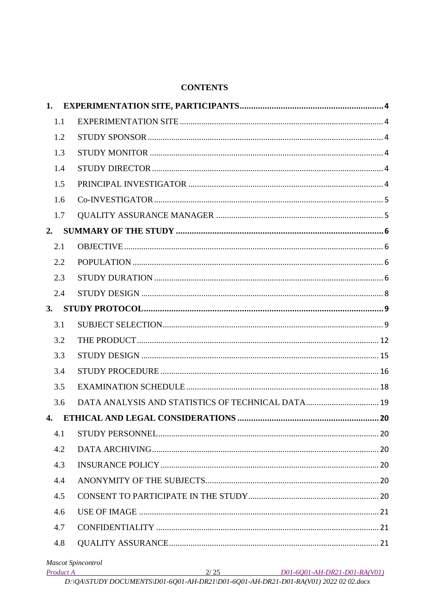#### **CONTENTS**

| 1.  |                                             |
|-----|---------------------------------------------|
| 1.1 |                                             |
| 1.2 |                                             |
| 1.3 |                                             |
| 1.4 |                                             |
| 1.5 |                                             |
| 1.6 |                                             |
| 1.7 |                                             |
| 2.  |                                             |
| 2.1 |                                             |
| 2.2 |                                             |
| 2.3 |                                             |
| 2.4 |                                             |
| 3.  |                                             |
| 3.1 |                                             |
| 3.2 |                                             |
| 3.3 |                                             |
| 3.4 |                                             |
| 3.5 |                                             |
| 3.6 |                                             |
|     |                                             |
| 4.1 |                                             |
| 4.2 |                                             |
| 4.3 |                                             |
| 4.4 |                                             |
| 4.5 |                                             |
| 4.6 |                                             |
| 4.7 |                                             |
| 4.8 |                                             |
|     | <b>Mascot Spincontrol</b>                   |
|     | Product A 2/25 D01-6Q01-AH-DR21-D01-RA(V01) |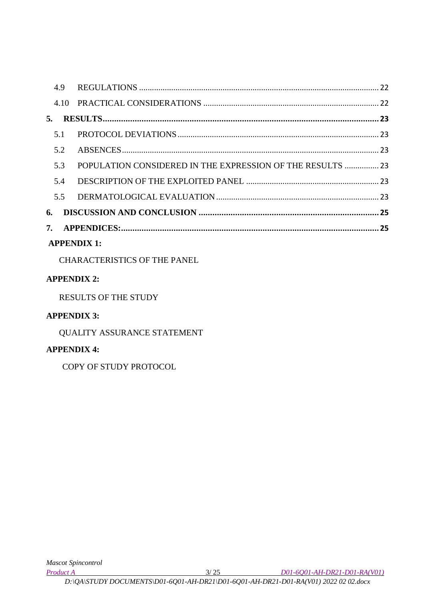|    | 5.  |                                                            |  |
|----|-----|------------------------------------------------------------|--|
|    | 5.1 |                                                            |  |
|    | 5.2 |                                                            |  |
|    | 5.3 | POPULATION CONSIDERED IN THE EXPRESSION OF THE RESULTS  23 |  |
|    | 5.4 |                                                            |  |
|    | 5.5 |                                                            |  |
| 6. |     |                                                            |  |
|    |     |                                                            |  |
|    |     |                                                            |  |

# **APPENDIX 1:**

CHARACTERISTICS OF THE PANEL

# **APPENDIX 2:**

RESULTS OF THE STUDY

# **APPENDIX 3:**

QUALITY ASSURANCE STATEMENT

# **APPENDIX 4:**

COPY OF STUDY PROTOCOL

*Product A* 3/ 25 *D01-6Q01-AH-DR21-D01-RA(V01)*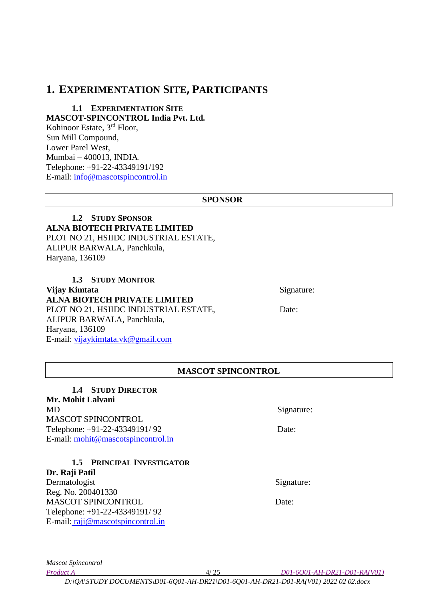# <span id="page-3-0"></span>**1. EXPERIMENTATION SITE, PARTICIPANTS**

#### <span id="page-3-1"></span>**1.1 EXPERIMENTATION SITE MASCOT-SPINCONTROL India Pvt. Ltd.** Kohinoor Estate, 3<sup>rd</sup> Floor, Sun Mill Compound, Lower Parel West,

Mumbai – 400013, INDIA. Telephone: +91-22-43349191/192 E-mail: info@mascotspincontrol.in

#### **SPONSOR**

#### <span id="page-3-2"></span>**1.2 STUDY SPONSOR ALNA BIOTECH PRIVATE LIMITED** PLOT NO 21, HSIIDC INDUSTRIAL ESTATE, ALIPUR BARWALA, Panchkula, Haryana, 136109

<span id="page-3-3"></span>**1.3 STUDY MONITOR Vijay Kimtata** Signature: **ALNA BIOTECH PRIVATE LIMITED** PLOT NO 21, HSIIDC INDUSTRIAL ESTATE, Date: ALIPUR BARWALA, Panchkula, Haryana, 136109 E-mail: [vijaykimtata.vk@gmail.com](mailto:vijaykimtata.vk@gmail.com)

### **MASCOT SPINCONTROL**

<span id="page-3-4"></span>**1.4 STUDY DIRECTOR Mr. Mohit Lalvani**  MD Signature: MASCOT SPINCONTROL Telephone: +91-22-43349191/92 Date: E-mail: [mohit@mascotspincontrol.in](mailto:mohit@mascotspincontrol.in)

#### **1.5 PRINCIPAL INVESTIGATOR**

<span id="page-3-5"></span>**Dr. Raji Patil**  Dermatologist Signature: Reg. No. 200401330 MASCOT SPINCONTROL Date: Telephone: +91-22-43349191/ 92 E-mail: [raji@mascotspincontrol.in](mailto:raji@mascotspincontrol.in)

*Mascot Spincontrol* 

*Product A* 4/ 25 *D01-6Q01-AH-DR21-D01-RA(V01)*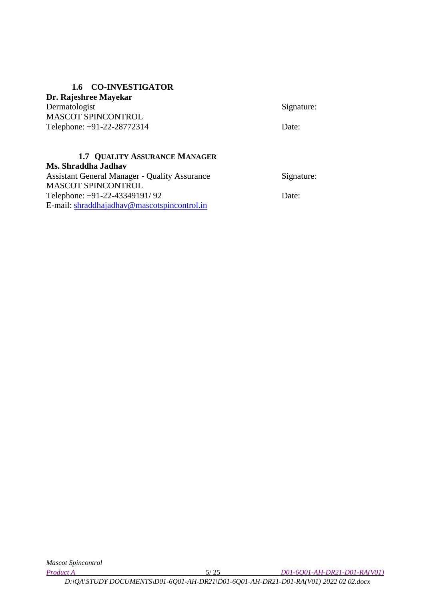#### **1.6 CO-INVESTIGATOR**

<span id="page-4-0"></span>**Dr. Rajeshree Mayekar**  Dermatologist Signature: MASCOT SPINCONTROL Telephone: +91-22-28772314 Date:

#### <span id="page-4-1"></span>**1.7 QUALITY ASSURANCE MANAGER Ms. Shraddha Jadhav** Assistant General Manager - Quality Assurance Signature: MASCOT SPINCONTROL

Telephone: +91-22-43349191/92 Date: E-mail: shraddhajadhav@mascotspincontrol.in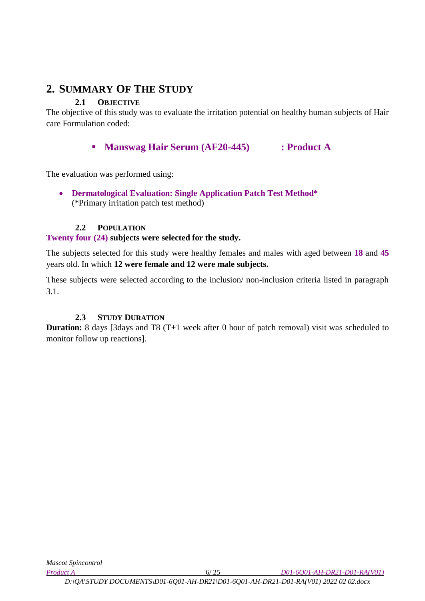# <span id="page-5-0"></span>**2. SUMMARY OF THE STUDY**

# **2.1 OBJECTIVE**

<span id="page-5-1"></span>The objective of this study was to evaluate the irritation potential on healthy human subjects of Hair care Formulation coded:

# **Manswag Hair Serum (AF20-445) : Product A**

The evaluation was performed using:

 **Dermatological Evaluation: Single Application Patch Test Method\*** (\*Primary irritation patch test method)

### **2.2 POPULATION**

# <span id="page-5-2"></span>**Twenty four (24) subjects were selected for the study.**

The subjects selected for this study were healthy females and males with aged between **18** and **45** years old. In which **12 were female and 12 were male subjects.**

These subjects were selected according to the inclusion/ non-inclusion criteria listed in paragraph 3.1.

# **2.3 STUDY DURATION**

<span id="page-5-3"></span>**Duration:** 8 days [3days and T8 (T+1 week after 0 hour of patch removal) visit was scheduled to monitor follow up reactions].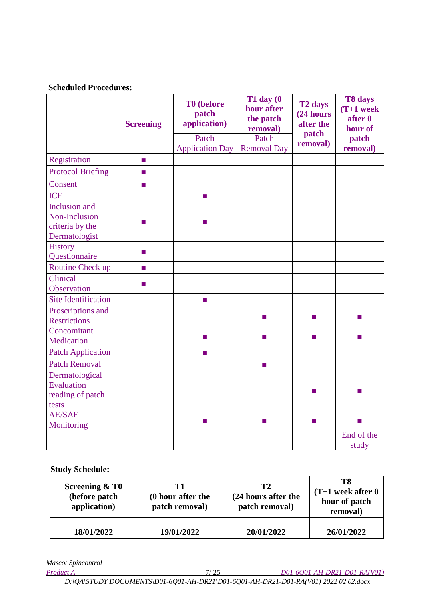#### **Scheduled Procedures:**

|                            | <b>Screening</b> | T0 (before<br>patch<br>application)<br>Patch<br><b>Application Day</b> | $T1$ day $(0)$<br>hour after<br>the patch<br>removal)<br>Patch<br><b>Removal Day</b> | T <sub>2</sub> days<br>(24 hours<br>after the<br>patch<br>removal) | T8 days<br>$(T+1$ week<br>after 0<br>hour of<br>patch<br>removal) |
|----------------------------|------------------|------------------------------------------------------------------------|--------------------------------------------------------------------------------------|--------------------------------------------------------------------|-------------------------------------------------------------------|
| Registration               | п                |                                                                        |                                                                                      |                                                                    |                                                                   |
| <b>Protocol Briefing</b>   | п                |                                                                        |                                                                                      |                                                                    |                                                                   |
| Consent                    | ш                |                                                                        |                                                                                      |                                                                    |                                                                   |
| <b>ICF</b>                 |                  | п                                                                      |                                                                                      |                                                                    |                                                                   |
| <b>Inclusion</b> and       |                  |                                                                        |                                                                                      |                                                                    |                                                                   |
| Non-Inclusion              | m.               | ш                                                                      |                                                                                      |                                                                    |                                                                   |
| criteria by the            |                  |                                                                        |                                                                                      |                                                                    |                                                                   |
| Dermatologist              |                  |                                                                        |                                                                                      |                                                                    |                                                                   |
| <b>History</b>             | $\mathbf{r}$     |                                                                        |                                                                                      |                                                                    |                                                                   |
| Questionnaire              |                  |                                                                        |                                                                                      |                                                                    |                                                                   |
| Routine Check up           | $\blacksquare$   |                                                                        |                                                                                      |                                                                    |                                                                   |
| Clinical                   | ш                |                                                                        |                                                                                      |                                                                    |                                                                   |
| Observation                |                  |                                                                        |                                                                                      |                                                                    |                                                                   |
| <b>Site Identification</b> |                  | <b>I</b>                                                               |                                                                                      |                                                                    |                                                                   |
| Proscriptions and          |                  |                                                                        | ш                                                                                    | $\mathbf{r}$                                                       | $\blacksquare$                                                    |
| <b>Restrictions</b>        |                  |                                                                        |                                                                                      |                                                                    |                                                                   |
| Concomitant                |                  | m.                                                                     | m.                                                                                   | <b>COL</b>                                                         | <b>COL</b>                                                        |
| Medication                 |                  |                                                                        |                                                                                      |                                                                    |                                                                   |
| <b>Patch Application</b>   |                  | ш                                                                      |                                                                                      |                                                                    |                                                                   |
| <b>Patch Removal</b>       |                  |                                                                        | <b>COL</b>                                                                           |                                                                    |                                                                   |
| Dermatological             |                  |                                                                        |                                                                                      |                                                                    |                                                                   |
| Evaluation                 |                  |                                                                        |                                                                                      | $\mathbf{r}$                                                       |                                                                   |
| reading of patch           |                  |                                                                        |                                                                                      |                                                                    |                                                                   |
| tests                      |                  |                                                                        |                                                                                      |                                                                    |                                                                   |
| <b>AE/SAE</b>              |                  | <b>COL</b>                                                             | <b>COL</b>                                                                           | $\mathbf{r}$                                                       | п                                                                 |
| Monitoring                 |                  |                                                                        |                                                                                      |                                                                    | End of the                                                        |
|                            |                  |                                                                        |                                                                                      |                                                                    | study                                                             |

 **Study Schedule:**

| <b>Screening &amp; T0</b><br>(before patch<br>application) | Т1<br>(0 hour after the<br>patch removal) |            | T8<br>$(T+1$ week after $0$<br>hour of patch<br>removal) |  |
|------------------------------------------------------------|-------------------------------------------|------------|----------------------------------------------------------|--|
| 18/01/2022                                                 | 19/01/2022                                | 20/01/2022 | 26/01/2022                                               |  |

*Mascot Spincontrol*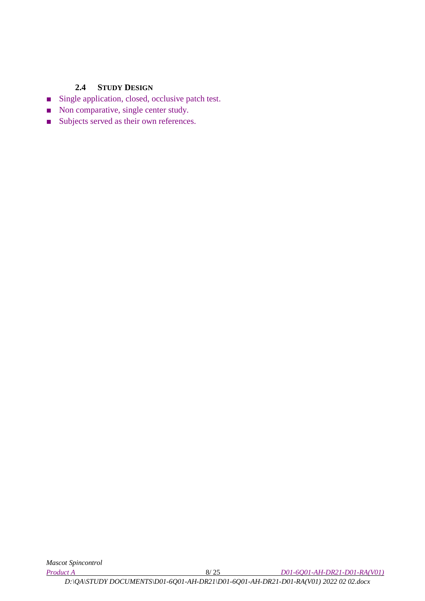### **2.4 STUDY DESIGN**

- <span id="page-7-0"></span>■ Single application, closed, occlusive patch test.
- Non comparative, single center study.
- Subjects served as their own references.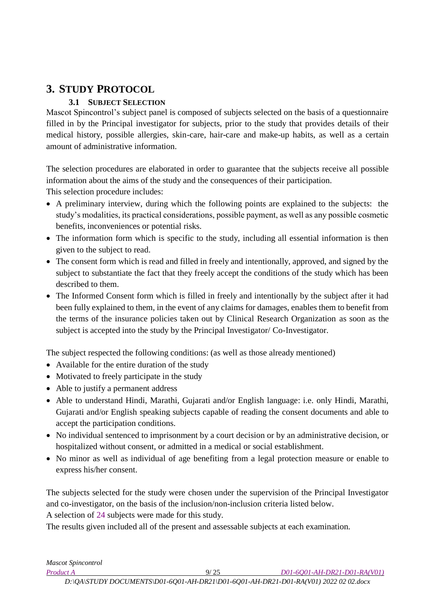# <span id="page-8-0"></span>**3. STUDY PROTOCOL**

# **3.1 SUBJECT SELECTION**

<span id="page-8-1"></span>Mascot Spincontrol's subject panel is composed of subjects selected on the basis of a questionnaire filled in by the Principal investigator for subjects, prior to the study that provides details of their medical history, possible allergies, skin-care, hair-care and make-up habits, as well as a certain amount of administrative information.

The selection procedures are elaborated in order to guarantee that the subjects receive all possible information about the aims of the study and the consequences of their participation. This selection procedure includes:

- A preliminary interview, during which the following points are explained to the subjects: the study's modalities, its practical considerations, possible payment, as well as any possible cosmetic benefits, inconveniences or potential risks.
- The information form which is specific to the study, including all essential information is then given to the subject to read.
- The consent form which is read and filled in freely and intentionally, approved, and signed by the subject to substantiate the fact that they freely accept the conditions of the study which has been described to them.
- The Informed Consent form which is filled in freely and intentionally by the subject after it had been fully explained to them, in the event of any claims for damages, enables them to benefit from the terms of the insurance policies taken out by Clinical Research Organization as soon as the subject is accepted into the study by the Principal Investigator/ Co-Investigator.

The subject respected the following conditions: (as well as those already mentioned)

- Available for the entire duration of the study
- Motivated to freely participate in the study
- Able to justify a permanent address
- Able to understand Hindi, Marathi, Gujarati and/or English language: i.e. only Hindi, Marathi, Gujarati and/or English speaking subjects capable of reading the consent documents and able to accept the participation conditions.
- No individual sentenced to imprisonment by a court decision or by an administrative decision, or hospitalized without consent, or admitted in a medical or social establishment.
- No minor as well as individual of age benefiting from a legal protection measure or enable to express his/her consent.

The subjects selected for the study were chosen under the supervision of the Principal Investigator and co-investigator, on the basis of the inclusion/non-inclusion criteria listed below.

A selection of 24 subjects were made for this study.

The results given included all of the present and assessable subjects at each examination.

*Mascot Spincontrol* 

*Product A* 9/ 25 *D01-6Q01-AH-DR21-D01-RA(V01)*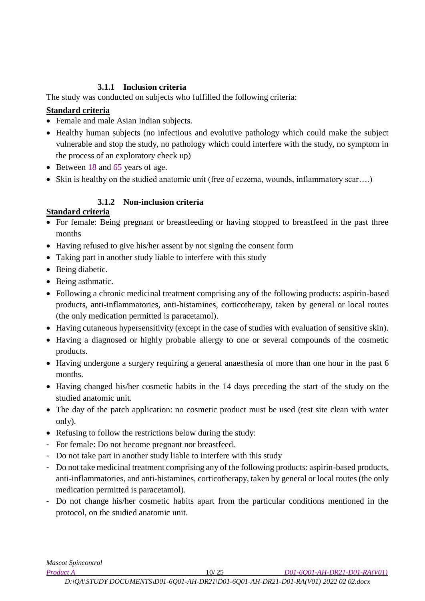# **3.1.1 Inclusion criteria**

The study was conducted on subjects who fulfilled the following criteria:

# **Standard criteria**

- Female and male Asian Indian subjects.
- Healthy human subjects (no infectious and evolutive pathology which could make the subject vulnerable and stop the study, no pathology which could interfere with the study, no symptom in the process of an exploratory check up)
- Between 18 and 65 years of age.
- Skin is healthy on the studied anatomic unit (free of eczema, wounds, inflammatory scar….)

# **3.1.2 Non-inclusion criteria**

# **Standard criteria**

- For female: Being pregnant or breastfeeding or having stopped to breastfeed in the past three months
- Having refused to give his/her assent by not signing the consent form
- Taking part in another study liable to interfere with this study
- Being diabetic.
- Being asthmatic.
- Following a chronic medicinal treatment comprising any of the following products: aspirin-based products, anti-inflammatories, anti-histamines, corticotherapy, taken by general or local routes (the only medication permitted is paracetamol).
- Having cutaneous hypersensitivity (except in the case of studies with evaluation of sensitive skin).
- Having a diagnosed or highly probable allergy to one or several compounds of the cosmetic products.
- Having undergone a surgery requiring a general anaesthesia of more than one hour in the past 6 months.
- Having changed his/her cosmetic habits in the 14 days preceding the start of the study on the studied anatomic unit.
- The day of the patch application: no cosmetic product must be used (test site clean with water only).
- Refusing to follow the restrictions below during the study:
- For female: Do not become pregnant nor breastfeed.
- Do not take part in another study liable to interfere with this study
- Do not take medicinal treatment comprising any of the following products: aspirin-based products, anti-inflammatories, and anti-histamines, corticotherapy, taken by general or local routes (the only medication permitted is paracetamol).
- Do not change his/her cosmetic habits apart from the particular conditions mentioned in the protocol, on the studied anatomic unit.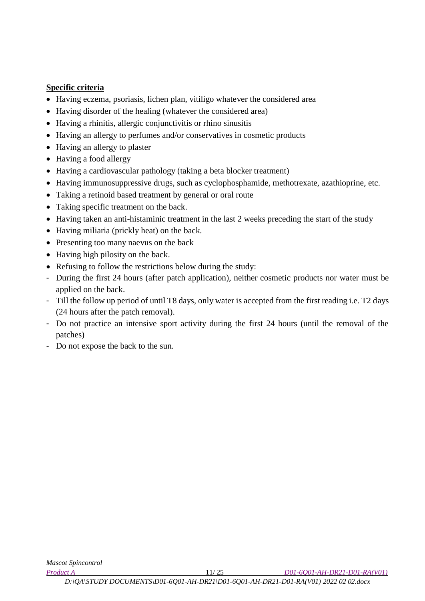### **Specific criteria**

- Having eczema, psoriasis, lichen plan, vitiligo whatever the considered area
- Having disorder of the healing (whatever the considered area)
- Having a rhinitis, allergic conjunctivitis or rhino sinusitis
- Having an allergy to perfumes and/or conservatives in cosmetic products
- Having an allergy to plaster
- Having a food allergy
- Having a cardiovascular pathology (taking a beta blocker treatment)
- Having immunosuppressive drugs, such as cyclophosphamide, methotrexate, azathioprine, etc.
- Taking a retinoid based treatment by general or oral route
- Taking specific treatment on the back.
- Having taken an anti-histaminic treatment in the last 2 weeks preceding the start of the study
- Having miliaria (prickly heat) on the back.
- Presenting too many naevus on the back
- Having high pilosity on the back.
- Refusing to follow the restrictions below during the study:
- During the first 24 hours (after patch application), neither cosmetic products nor water must be applied on the back.
- Till the follow up period of until T8 days, only water is accepted from the first reading i.e. T2 days (24 hours after the patch removal).
- Do not practice an intensive sport activity during the first 24 hours (until the removal of the patches)
- Do not expose the back to the sun.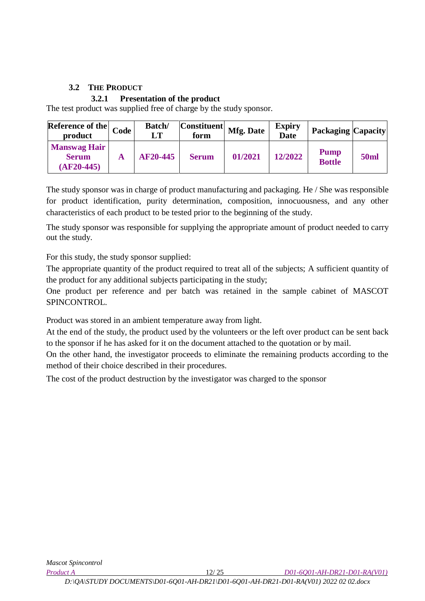### **3.2 THE PRODUCT**

### **3.2.1 Presentation of the product**

<span id="page-11-0"></span>The test product was supplied free of charge by the study sponsor.

| Reference of the $\sqrt{ }$<br>product              | Code | <b>Batch/</b><br>$\bf LT$ | <b>Constituent</b><br>form | <b>Mfg. Date</b> | <b>Expiry</b><br><b>Date</b> | <b>Packaging Capacity</b>    |             |
|-----------------------------------------------------|------|---------------------------|----------------------------|------------------|------------------------------|------------------------------|-------------|
| <b>Manswag Hair</b><br><b>Serum</b><br>$(AF20-445)$ | A    | <b>AF20-445</b>           | <b>Serum</b>               | 01/2021          | 12/2022                      | <b>Pump</b><br><b>Bottle</b> | <b>50ml</b> |

The study sponsor was in charge of product manufacturing and packaging. He / She was responsible for product identification, purity determination, composition, innocuousness, and any other characteristics of each product to be tested prior to the beginning of the study.

The study sponsor was responsible for supplying the appropriate amount of product needed to carry out the study.

For this study, the study sponsor supplied:

The appropriate quantity of the product required to treat all of the subjects; A sufficient quantity of the product for any additional subjects participating in the study;

One product per reference and per batch was retained in the sample cabinet of MASCOT SPINCONTROL.

Product was stored in an ambient temperature away from light.

At the end of the study, the product used by the volunteers or the left over product can be sent back to the sponsor if he has asked for it on the document attached to the quotation or by mail.

On the other hand, the investigator proceeds to eliminate the remaining products according to the method of their choice described in their procedures.

The cost of the product destruction by the investigator was charged to the sponsor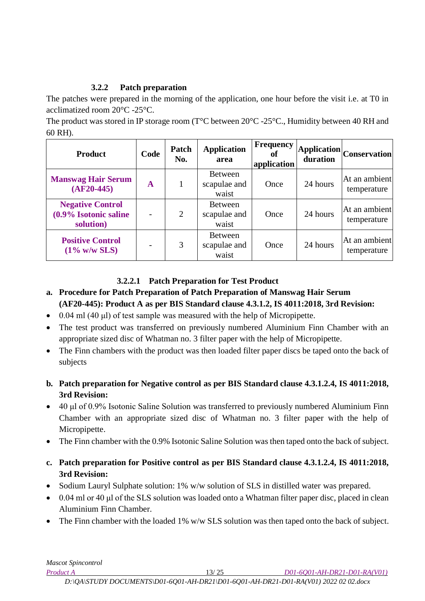# **3.2.2 Patch preparation**

The patches were prepared in the morning of the application, one hour before the visit i.e. at T0 in acclimatized room 20°C -25°C.

The product was stored in IP storage room (T<sup>o</sup>C between 20<sup>o</sup>C -25<sup>o</sup>C., Humidity between 40 RH and 60 RH).

| <b>Product</b>                                                   | Code                     | Patch<br>No. | <b>Application</b><br>area              | <b>Frequency</b><br>ot<br>application | duration | $ {\large \bf Application} \quad \quad \  \, \text{Conservation}^\dagger$ |
|------------------------------------------------------------------|--------------------------|--------------|-----------------------------------------|---------------------------------------|----------|---------------------------------------------------------------------------|
| <b>Manswag Hair Serum</b><br>$\mathbf A$<br>$(AF20-445)$         |                          |              | <b>Between</b><br>scapulae and<br>waist | Once                                  | 24 hours | At an ambient<br>temperature                                              |
| <b>Negative Control</b><br>$(0.9\%$ Isotonic saline<br>solution) | $\overline{\phantom{0}}$ | 2            | <b>Between</b><br>scapulae and<br>waist | Once                                  | 24 hours | At an ambient<br>temperature                                              |
| <b>Positive Control</b><br>$(1\%$ w/w SLS)                       |                          | 3            | <b>Between</b><br>scapulae and<br>waist | Once                                  | 24 hours | At an ambient<br>temperature                                              |

# **3.2.2.1 Patch Preparation for Test Product**

- **a. Procedure for Patch Preparation of Patch Preparation of Manswag Hair Serum (AF20-445): Product A as per BIS Standard clause 4.3.1.2, IS 4011:2018, 3rd Revision:**
- $\bullet$  0.04 ml (40 µl) of test sample was measured with the help of Micropipette.
- The test product was transferred on previously numbered Aluminium Finn Chamber with an appropriate sized disc of Whatman no. 3 filter paper with the help of Micropipette.
- The Finn chambers with the product was then loaded filter paper discs be taped onto the back of subjects
- **b. Patch preparation for Negative control as per BIS Standard clause 4.3.1.2.4, IS 4011:2018, 3rd Revision:**
- 40 μl of 0.9% Isotonic Saline Solution was transferred to previously numbered Aluminium Finn Chamber with an appropriate sized disc of Whatman no. 3 filter paper with the help of Micropipette.
- The Finn chamber with the 0.9% Isotonic Saline Solution was then taped onto the back of subject.
- **c. Patch preparation for Positive control as per BIS Standard clause 4.3.1.2.4, IS 4011:2018, 3rd Revision:**
- Sodium Lauryl Sulphate solution: 1% w/w solution of SLS in distilled water was prepared.
- 0.04 ml or 40 μl of the SLS solution was loaded onto a Whatman filter paper disc, placed in clean Aluminium Finn Chamber.
- The Finn chamber with the loaded 1% w/w SLS solution was then taped onto the back of subject.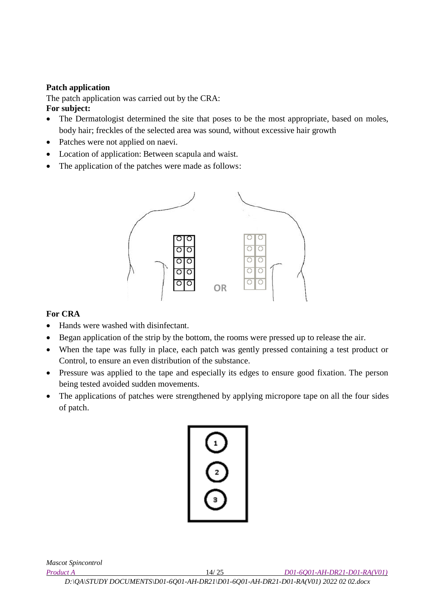### **Patch application**

The patch application was carried out by the CRA: **For subject:** 

- The Dermatologist determined the site that poses to be the most appropriate, based on moles, body hair; freckles of the selected area was sound, without excessive hair growth
- Patches were not applied on naevi.
- Location of application: Between scapula and waist.
- The application of the patches were made as follows:



### **For CRA**

- Hands were washed with disinfectant.
- Began application of the strip by the bottom, the rooms were pressed up to release the air.
- When the tape was fully in place, each patch was gently pressed containing a test product or Control, to ensure an even distribution of the substance.
- Pressure was applied to the tape and especially its edges to ensure good fixation. The person being tested avoided sudden movements.
- The applications of patches were strengthened by applying micropore tape on all the four sides of patch.



*Mascot Spincontrol* 

*Product A* 14/ 25 *D01-6Q01-AH-DR21-D01-RA(V01)*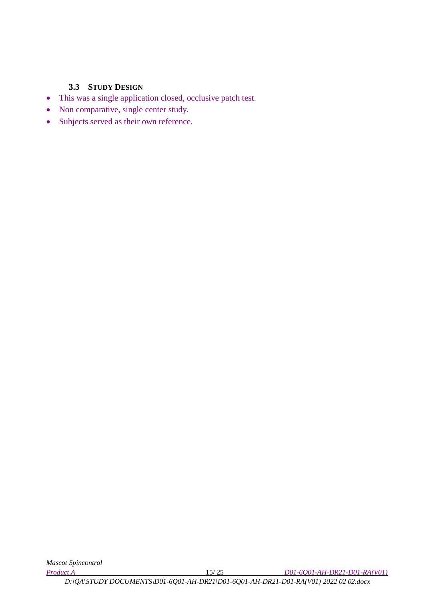### **3.3 STUDY DESIGN**

- <span id="page-14-0"></span>This was a single application closed, occlusive patch test.
- Non comparative, single center study.
- Subjects served as their own reference.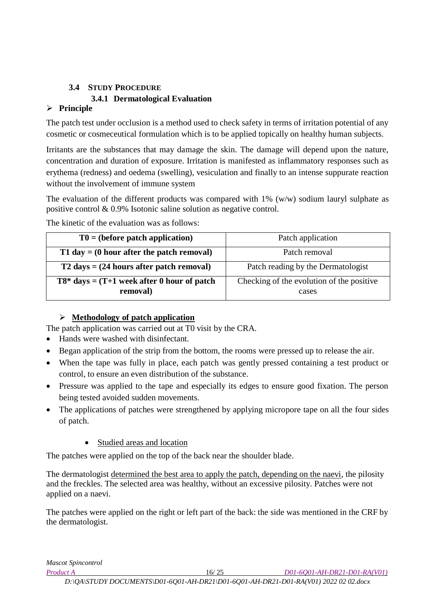### <span id="page-15-0"></span>**3.4 STUDY PROCEDURE 3.4.1 Dermatological Evaluation**

# **Principle**

The patch test under occlusion is a method used to check safety in terms of irritation potential of any cosmetic or cosmeceutical formulation which is to be applied topically on healthy human subjects.

Irritants are the substances that may damage the skin. The damage will depend upon the nature, concentration and duration of exposure. Irritation is manifested as inflammatory responses such as erythema (redness) and oedema (swelling), vesiculation and finally to an intense suppurate reaction without the involvement of immune system

The evaluation of the different products was compared with 1% (w/w) sodium lauryl sulphate as positive control & 0.9% Isotonic saline solution as negative control.

The kinetic of the evaluation was as follows:

| $T0 = (before patch application)$                           | Patch application                                  |  |  |
|-------------------------------------------------------------|----------------------------------------------------|--|--|
| T1 day $=$ (0 hour after the patch removal)                 | Patch removal                                      |  |  |
| $T2 \text{ days} = (24 \text{ hours after patch removal})$  | Patch reading by the Dermatologist                 |  |  |
| $T8^*$ days = $(T+1$ week after 0 hour of patch<br>removal) | Checking of the evolution of the positive<br>cases |  |  |

# **Methodology of patch application**

The patch application was carried out at T0 visit by the CRA.

- Hands were washed with disinfectant.
- Began application of the strip from the bottom, the rooms were pressed up to release the air.
- When the tape was fully in place, each patch was gently pressed containing a test product or control, to ensure an even distribution of the substance.
- Pressure was applied to the tape and especially its edges to ensure good fixation. The person being tested avoided sudden movements.
- The applications of patches were strengthened by applying micropore tape on all the four sides of patch.

# Studied areas and location

The patches were applied on the top of the back near the shoulder blade.

The dermatologist determined the best area to apply the patch, depending on the naevi, the pilosity and the freckles. The selected area was healthy, without an excessive pilosity. Patches were not applied on a naevi.

The patches were applied on the right or left part of the back: the side was mentioned in the CRF by the dermatologist.

*Mascot Spincontrol* 

*Product A* 16/ 25 *D01-6Q01-AH-DR21-D01-RA(V01)*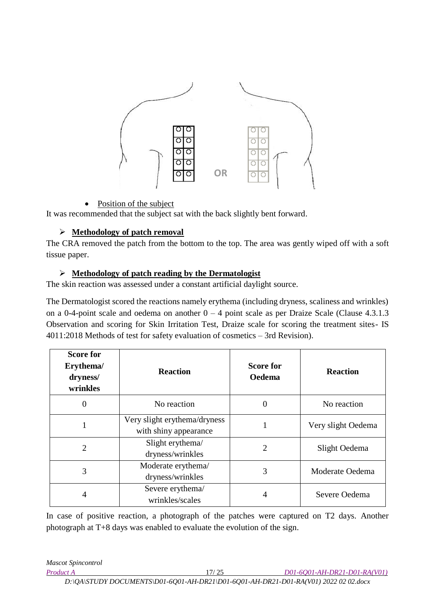

### Position of the subject

It was recommended that the subject sat with the back slightly bent forward.

### **Methodology of patch removal**

The CRA removed the patch from the bottom to the top. The area was gently wiped off with a soft tissue paper.

### **Methodology of patch reading by the Dermatologist**

The skin reaction was assessed under a constant artificial daylight source.

The Dermatologist scored the reactions namely erythema (including dryness, scaliness and wrinkles) on a 0-4-point scale and oedema on another  $0 - 4$  point scale as per Draize Scale (Clause 4.3.1.3) Observation and scoring for Skin Irritation Test, Draize scale for scoring the treatment sites- IS 4011:2018 Methods of test for safety evaluation of cosmetics – 3rd Revision).

| <b>Score for</b><br>Erythema/<br>dryness/<br>wrinkles | <b>Reaction</b>                                       | <b>Score for</b><br><b>Oedema</b> | <b>Reaction</b>    |
|-------------------------------------------------------|-------------------------------------------------------|-----------------------------------|--------------------|
| 0                                                     | No reaction                                           | $\theta$                          | No reaction        |
|                                                       | Very slight erythema/dryness<br>with shiny appearance |                                   | Very slight Oedema |
| 2                                                     | Slight erythema/<br>dryness/wrinkles                  | $\overline{2}$                    | Slight Oedema      |
| 3                                                     | Moderate erythema/<br>dryness/wrinkles                | 3                                 | Moderate Oedema    |
| 4                                                     | Severe erythema/<br>wrinkles/scales                   | 4                                 | Severe Oedema      |

In case of positive reaction, a photograph of the patches were captured on T2 days. Another photograph at T+8 days was enabled to evaluate the evolution of the sign.

*Mascot Spincontrol* 

*Product A* 17/ 25 *D01-6Q01-AH-DR21-D01-RA(V01)*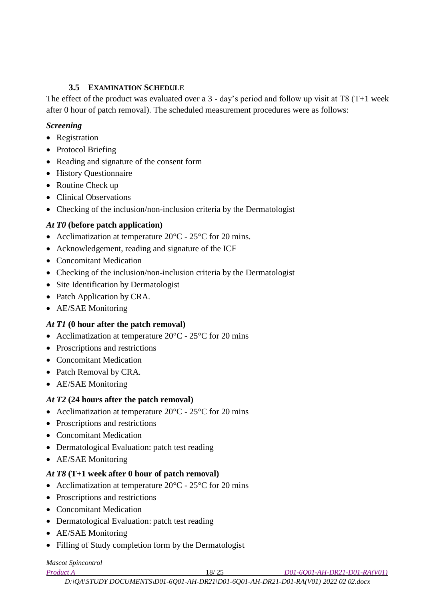### **3.5 EXAMINATION SCHEDULE**

<span id="page-17-0"></span>The effect of the product was evaluated over a 3 - day's period and follow up visit at T8 (T+1 week after 0 hour of patch removal). The scheduled measurement procedures were as follows:

### *Screening*

- Registration
- Protocol Briefing
- Reading and signature of the consent form
- History Questionnaire
- Routine Check up
- Clinical Observations
- Checking of the inclusion/non-inclusion criteria by the Dermatologist

# *At T0* **(before patch application)**

- Acclimatization at temperature  $20^{\circ}$ C  $25^{\circ}$ C for 20 mins.
- Acknowledgement, reading and signature of the ICF
- Concomitant Medication
- Checking of the inclusion/non-inclusion criteria by the Dermatologist
- Site Identification by Dermatologist
- Patch Application by CRA.
- AE/SAE Monitoring

# *At T1* **(0 hour after the patch removal)**

- Acclimatization at temperature  $20^{\circ}$ C  $25^{\circ}$ C for 20 mins
- Proscriptions and restrictions
- Concomitant Medication
- Patch Removal by CRA.
- AE/SAE Monitoring

# *At T2* **(24 hours after the patch removal)**

- Acclimatization at temperature  $20^{\circ}$ C  $25^{\circ}$ C for 20 mins
- Proscriptions and restrictions
- Concomitant Medication
- Dermatological Evaluation: patch test reading
- AE/SAE Monitoring

# *At T8* **(T+1 week after 0 hour of patch removal)**

- Acclimatization at temperature  $20^{\circ}$ C  $25^{\circ}$ C for 20 mins
- Proscriptions and restrictions
- Concomitant Medication
- Dermatological Evaluation: patch test reading
- AE/SAE Monitoring
- Filling of Study completion form by the Dermatologist

# *Mascot Spincontrol*

*Product A* 18/ 25 *D01-6Q01-AH-DR21-D01-RA(V01)*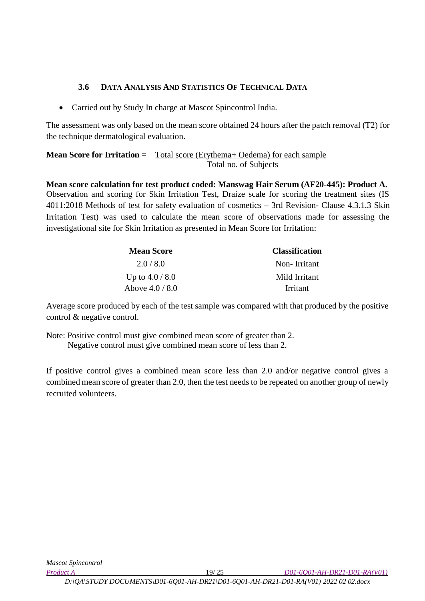# **3.6 DATA ANALYSIS AND STATISTICS OF TECHNICAL DATA**

<span id="page-18-0"></span>Carried out by Study In charge at Mascot Spincontrol India.

The assessment was only based on the mean score obtained 24 hours after the patch removal (T2) for the technique dermatological evaluation.

**Mean Score for Irritation** = Total score (Erythema+ Oedema) for each sample Total no. of Subjects

**Mean score calculation for test product coded: Manswag Hair Serum (AF20-445): Product A.** Observation and scoring for Skin Irritation Test, Draize scale for scoring the treatment sites (IS 4011:2018 Methods of test for safety evaluation of cosmetics – 3rd Revision- Clause 4.3.1.3 Skin Irritation Test) was used to calculate the mean score of observations made for assessing the investigational site for Skin Irritation as presented in Mean Score for Irritation:

| <b>Mean Score</b> | <b>Classification</b> |
|-------------------|-----------------------|
| 2.0/8.0           | Non-Irritant          |
| Up to $4.0 / 8.0$ | Mild Irritant         |
| Above $4.0 / 8.0$ | Irritant              |

Average score produced by each of the test sample was compared with that produced by the positive control & negative control.

Note: Positive control must give combined mean score of greater than 2. Negative control must give combined mean score of less than 2.

If positive control gives a combined mean score less than 2.0 and/or negative control gives a combined mean score of greater than 2.0, then the test needs to be repeated on another group of newly recruited volunteers.

*Product A* 19/ 25 *D01-6Q01-AH-DR21-D01-RA(V01)*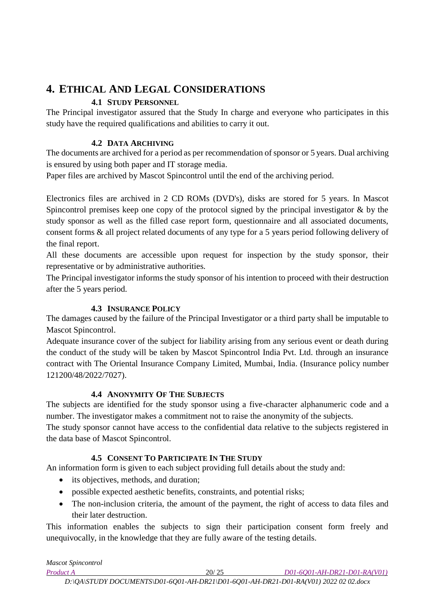# <span id="page-19-0"></span>**4. ETHICAL AND LEGAL CONSIDERATIONS**

# **4.1 STUDY PERSONNEL**

<span id="page-19-1"></span>The Principal investigator assured that the Study In charge and everyone who participates in this study have the required qualifications and abilities to carry it out.

# **4.2 DATA ARCHIVING**

<span id="page-19-2"></span>The documents are archived for a period as per recommendation of sponsor or 5 years. Dual archiving is ensured by using both paper and IT storage media.

Paper files are archived by Mascot Spincontrol until the end of the archiving period.

Electronics files are archived in 2 CD ROMs (DVD's), disks are stored for 5 years. In Mascot Spincontrol premises keep one copy of the protocol signed by the principal investigator & by the study sponsor as well as the filled case report form, questionnaire and all associated documents, consent forms & all project related documents of any type for a 5 years period following delivery of the final report.

All these documents are accessible upon request for inspection by the study sponsor, their representative or by administrative authorities.

The Principal investigator informs the study sponsor of his intention to proceed with their destruction after the 5 years period.

# **4.3 INSURANCE POLICY**

<span id="page-19-3"></span>The damages caused by the failure of the Principal Investigator or a third party shall be imputable to Mascot Spincontrol.

Adequate insurance cover of the subject for liability arising from any serious event or death during the conduct of the study will be taken by Mascot Spincontrol India Pvt. Ltd. through an insurance contract with The Oriental Insurance Company Limited, Mumbai, India. (Insurance policy number 121200/48/2022/7027).

# **4.4 ANONYMITY OF THE SUBJECTS**

<span id="page-19-4"></span>The subjects are identified for the study sponsor using a five-character alphanumeric code and a number. The investigator makes a commitment not to raise the anonymity of the subjects.

The study sponsor cannot have access to the confidential data relative to the subjects registered in the data base of Mascot Spincontrol.

# **4.5 CONSENT TO PARTICIPATE IN THE STUDY**

<span id="page-19-5"></span>An information form is given to each subject providing full details about the study and:

- its objectives, methods, and duration;
- possible expected aesthetic benefits, constraints, and potential risks;
- The non-inclusion criteria, the amount of the payment, the right of access to data files and their later destruction.

This information enables the subjects to sign their participation consent form freely and unequivocally, in the knowledge that they are fully aware of the testing details.

| <b>Mascot Spincontrol</b> |                                                                                     |                              |  |  |  |  |  |  |
|---------------------------|-------------------------------------------------------------------------------------|------------------------------|--|--|--|--|--|--|
| <i>Product A</i>          | 20/25                                                                               | D01-6001-AH-DR21-D01-RA(V01) |  |  |  |  |  |  |
|                           | $D:\ QA\STUDY DOCUMENTS\D01-6Q01-AH-DR21\D01-6Q01-AH-DR21-DO1-RA(V01)$ 2022 02.docx |                              |  |  |  |  |  |  |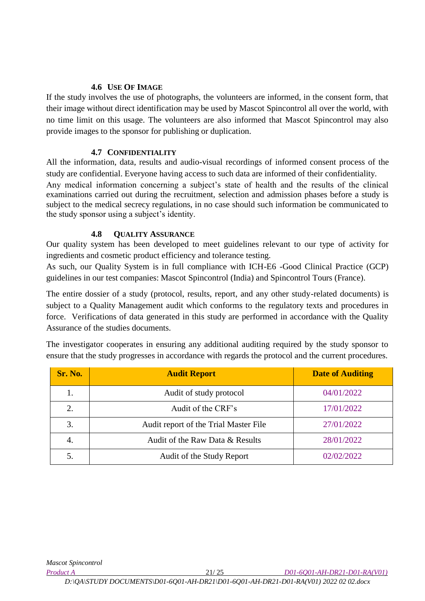### **4.6 USE OF IMAGE**

<span id="page-20-0"></span>If the study involves the use of photographs, the volunteers are informed, in the consent form, that their image without direct identification may be used by Mascot Spincontrol all over the world, with no time limit on this usage. The volunteers are also informed that Mascot Spincontrol may also provide images to the sponsor for publishing or duplication.

#### **4.7 CONFIDENTIALITY**

<span id="page-20-1"></span>All the information, data, results and audio-visual recordings of informed consent process of the study are confidential. Everyone having access to such data are informed of their confidentiality. Any medical information concerning a subject's state of health and the results of the clinical examinations carried out during the recruitment, selection and admission phases before a study is subject to the medical secrecy regulations, in no case should such information be communicated to the study sponsor using a subject's identity.

### **4.8 QUALITY ASSURANCE**

<span id="page-20-2"></span>Our quality system has been developed to meet guidelines relevant to our type of activity for ingredients and cosmetic product efficiency and tolerance testing.

As such, our Quality System is in full compliance with ICH-E6 -Good Clinical Practice (GCP) guidelines in our test companies: Mascot Spincontrol (India) and Spincontrol Tours (France).

The entire dossier of a study (protocol, results, report, and any other study-related documents) is subject to a Quality Management audit which conforms to the regulatory texts and procedures in force. Verifications of data generated in this study are performed in accordance with the Quality Assurance of the studies documents.

| The investigator cooperates in ensuring any additional auditing required by the study sponsor to     |  |  |  |  |  |
|------------------------------------------------------------------------------------------------------|--|--|--|--|--|
| ensure that the study progresses in accordance with regards the protocol and the current procedures. |  |  |  |  |  |

| <b>Sr. No.</b> | <b>Audit Report</b>                   | <b>Date of Auditing</b> |
|----------------|---------------------------------------|-------------------------|
|                | Audit of study protocol               | 04/01/2022              |
| 2.             | Audit of the CRF's                    | 17/01/2022              |
| 3.             | Audit report of the Trial Master File | 27/01/2022              |
| 4.             | Audit of the Raw Data & Results       | 28/01/2022              |
|                | Audit of the Study Report             | 02/02/2022              |

*Product A* 21/ 25 *D01-6Q01-AH-DR21-D01-RA(V01)*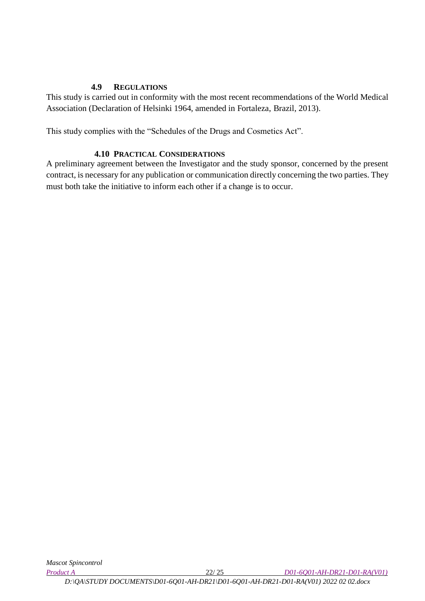#### **4.9 REGULATIONS**

<span id="page-21-0"></span>This study is carried out in conformity with the most recent recommendations of the World Medical Association (Declaration of Helsinki 1964, amended in Fortaleza, Brazil, 2013).

This study complies with the "Schedules of the Drugs and Cosmetics Act".

### **4.10 PRACTICAL CONSIDERATIONS**

<span id="page-21-1"></span>A preliminary agreement between the Investigator and the study sponsor, concerned by the present contract, is necessary for any publication or communication directly concerning the two parties. They must both take the initiative to inform each other if a change is to occur.

*D:\QA\STUDY DOCUMENTS\D01-6Q01-AH-DR21\D01-6Q01-AH-DR21-D01-RA(V01) 2022 02 02.docx*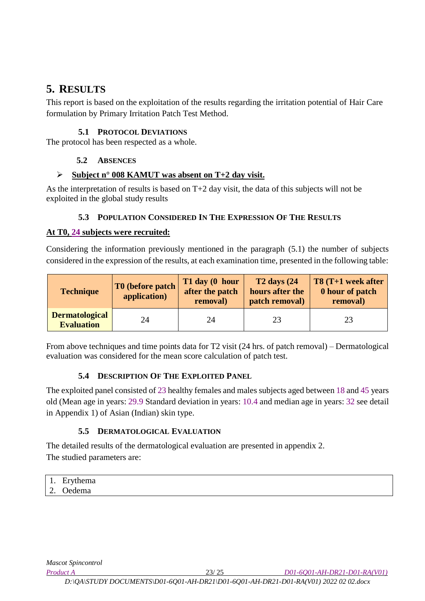# <span id="page-22-0"></span>**5. RESULTS**

This report is based on the exploitation of the results regarding the irritation potential of Hair Care formulation by Primary Irritation Patch Test Method.

### **5.1 PROTOCOL DEVIATIONS**

<span id="page-22-2"></span><span id="page-22-1"></span>The protocol has been respected as a whole.

# **5.2 ABSENCES**

### **Subject n° 008 KAMUT was absent on T+2 day visit.**

As the interpretation of results is based on T+2 day visit, the data of this subjects will not be exploited in the global study results

# **5.3 POPULATION CONSIDERED IN THE EXPRESSION OF THE RESULTS**

### <span id="page-22-3"></span>**At T0, 24 subjects were recruited:**

Considering the information previously mentioned in the paragraph (5.1) the number of subjects considered in the expression of the results, at each examination time, presented in the following table:

| <b>Technique</b>                           | T0 (before patch)<br>application) | T1 day (0 hour<br>after the patch<br>removal) | $T2$ days $(24)$<br>hours after the<br>patch removal) | T8 (T+1 week after<br>0 hour of patch<br>removal) |
|--------------------------------------------|-----------------------------------|-----------------------------------------------|-------------------------------------------------------|---------------------------------------------------|
| <b>Dermatological</b><br><b>Evaluation</b> | 24                                | 24                                            | 23                                                    | 23                                                |

From above techniques and time points data for T2 visit (24 hrs. of patch removal) – Dermatological evaluation was considered for the mean score calculation of patch test.

# **5.4 DESCRIPTION OF THE EXPLOITED PANEL**

<span id="page-22-4"></span>The exploited panel consisted of 23 healthy females and males subjects aged between 18 and 45 years old (Mean age in years: 29.9 Standard deviation in years: 10.4 and median age in years: 32 see detail in Appendix 1) of Asian (Indian) skin type.

# **5.5 DERMATOLOGICAL EVALUATION**

<span id="page-22-5"></span>The detailed results of the dermatological evaluation are presented in appendix 2. The studied parameters are:

| $\overline{\phantom{a}}$ | T.<br>ومصرف<br>$+$ la $\alpha$ saa $\alpha$<br>пеніа<br>ப |
|--------------------------|-----------------------------------------------------------|
| $\sqrt{2}$<br><u>.</u>   | ' Jedema                                                  |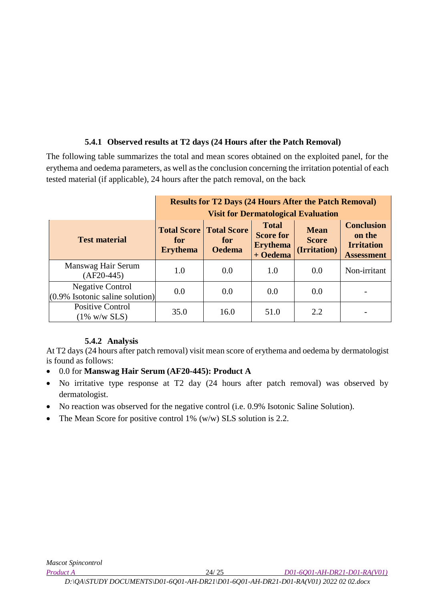# **5.4.1 Observed results at T2 days (24 Hours after the Patch Removal)**

The following table summarizes the total and mean scores obtained on the exploited panel, for the erythema and oedema parameters, as well as the conclusion concerning the irritation potential of each tested material (if applicable), 24 hours after the patch removal, on the back

|                                                               | <b>Results for T2 Days (24 Hours After the Patch Removal)</b>                                                                                                                                                                                                                                                               |      |      |     |              |  |
|---------------------------------------------------------------|-----------------------------------------------------------------------------------------------------------------------------------------------------------------------------------------------------------------------------------------------------------------------------------------------------------------------------|------|------|-----|--------------|--|
| <b>Test material</b>                                          | <b>Visit for Dermatological Evaluation</b><br><b>Conclusion</b><br><b>Total</b><br><b>Total Score   Total Score</b><br><b>Mean</b><br><b>Score for</b><br>on the<br><b>Score</b><br>for<br>for<br><b>Irritation</b><br><b>Erythema</b><br>(Irritation)<br><b>Oedema</b><br><b>Erythema</b><br>+ Oedema<br><b>Assessment</b> |      |      |     |              |  |
| Manswag Hair Serum<br>$(AF20-445)$                            | 1.0                                                                                                                                                                                                                                                                                                                         | 0.0  | 1.0  | 0.0 | Non-irritant |  |
| <b>Negative Control</b><br>$(0.9\%$ Isotonic saline solution) | 0.0                                                                                                                                                                                                                                                                                                                         | 0.0  | 0.0  | 0.0 |              |  |
| <b>Positive Control</b><br>$(1\%$ w/w SLS)                    | 35.0                                                                                                                                                                                                                                                                                                                        | 16.0 | 51.0 | 2.2 |              |  |

### **5.4.2 Analysis**

At T2 days (24 hours after patch removal) visit mean score of erythema and oedema by dermatologist is found as follows:

- 0.0 for **Manswag Hair Serum (AF20-445): Product A**
- No irritative type response at T2 day (24 hours after patch removal) was observed by dermatologist.
- No reaction was observed for the negative control (i.e. 0.9% Isotonic Saline Solution).
- The Mean Score for positive control 1% (w/w) SLS solution is 2.2.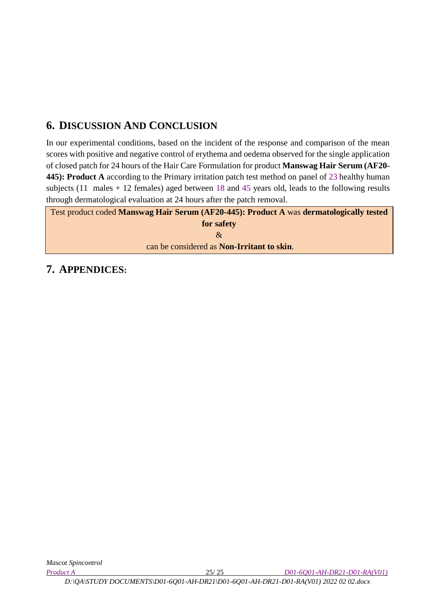# <span id="page-24-0"></span>**6. DISCUSSION AND CONCLUSION**

In our experimental conditions, based on the incident of the response and comparison of the mean scores with positive and negative control of erythema and oedema observed for the single application of closed patch for 24 hours of the Hair Care Formulation for product **Manswag Hair Serum (AF20- 445): Product A** according to the Primary irritation patch test method on panel of 23 healthy human subjects (11 males + 12 females) aged between 18 and 45 years old, leads to the following results through dermatological evaluation at 24 hours after the patch removal.

Test product coded **Manswag Hair Serum (AF20-445): Product A** was **dermatologically tested for safety**  $\mathcal{R}$ can be considered as **Non-Irritant to skin**.

# <span id="page-24-1"></span>**7. APPENDICES:**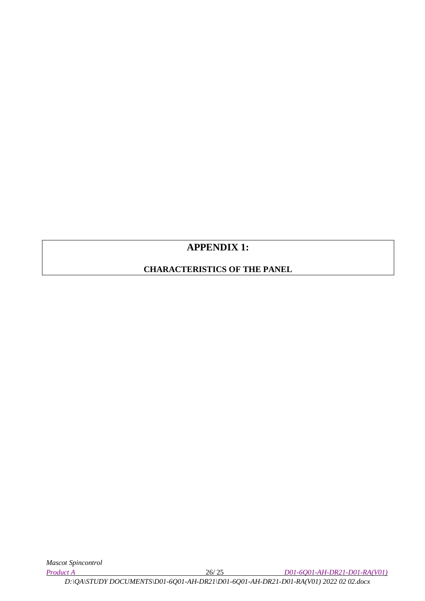# **APPENDIX 1:**

# **CHARACTERISTICS OF THE PANEL**

*Product A* 26/ 25 *D01-6Q01-AH-DR21-D01-RA(V01)*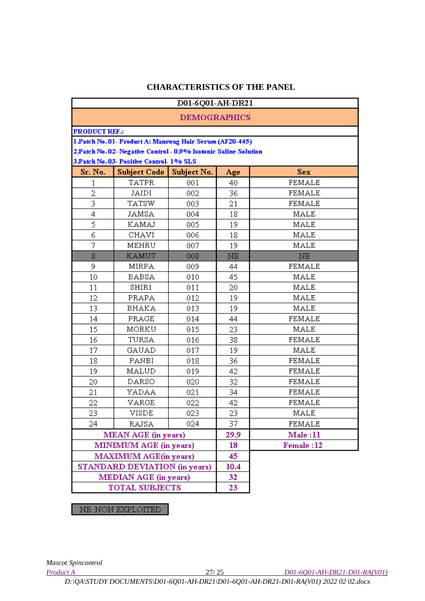### **CHARACTERISTICS OF THE PANEL**

|                      |                                                                  |                     |           | D01-6Q01-AH-DR21 |  |  |  |
|----------------------|------------------------------------------------------------------|---------------------|-----------|------------------|--|--|--|
|                      |                                                                  | <b>DEMOGRAPHICS</b> |           |                  |  |  |  |
| <b>PRODUCT REF.:</b> |                                                                  |                     |           |                  |  |  |  |
|                      | 1 Patch No. 01- Product A: Manswag Hair Serum (AF20-445)         |                     |           |                  |  |  |  |
|                      | 2.Patch No. 02- Negative Control - 0.9% Isotonic Saline Solution |                     |           |                  |  |  |  |
|                      | 3. Patch No. 03- Positive Control- 1% SLS                        |                     |           |                  |  |  |  |
| Sr. No.              | <b>Subject Code</b>                                              | Subject No.         | Age       | Sex              |  |  |  |
| 1                    | <b>TATPR</b>                                                     | 001                 | 40        | <b>FEMALE</b>    |  |  |  |
| $\overline{c}$       | JAIDI                                                            | 002                 | 36        | <b>FEMALE</b>    |  |  |  |
| 3                    | TATSW                                                            | 003                 | 21        | <b>FEMALE</b>    |  |  |  |
| 4                    | JAMSA                                                            | 004                 | 18        | MALE             |  |  |  |
| 5                    | KAMAJ                                                            | 005                 | 19        | MALE             |  |  |  |
| 6                    | CHAVI                                                            | 006                 | 18        | MALE             |  |  |  |
| 7                    | MEHRU                                                            | 007                 | 19        | MALE             |  |  |  |
| 8                    | <b>KAMUT</b>                                                     | 008                 | <b>NE</b> | NE.              |  |  |  |
| 9                    | MIRPA                                                            | 009                 | 44        | <b>FEMALE</b>    |  |  |  |
| 10                   | BABSA                                                            | 010                 | 45        | MALE             |  |  |  |
| 11                   | SHIR1                                                            | 011                 | 20        | MALE             |  |  |  |
| 12                   | PRAPA                                                            | 012                 | 19        | <b>MALE</b>      |  |  |  |
| 13                   | BHAKA                                                            | 013                 | 19        | MALE             |  |  |  |
| 14                   | PRAGE                                                            | 014                 | 44        | <b>FEMALE</b>    |  |  |  |
| 15                   | MORKU                                                            | 015                 | 23        | MALE             |  |  |  |
| 16                   | TURSA                                                            | 016                 | 38        | <b>FEMALE</b>    |  |  |  |
| 17                   | GAUAD                                                            | 017                 | 19        | MALE             |  |  |  |
| 18                   | PANBI                                                            | 018                 | 36        | <b>FEMALE</b>    |  |  |  |
| 19                   | MALUD                                                            | 019                 | 42        | <b>FEMALE</b>    |  |  |  |
| 20                   | <b>DARSO</b>                                                     | 020                 | 32        | <b>FEMALE</b>    |  |  |  |
| 21                   | YADAA                                                            | 021                 | 34        | <b>FEMALE</b>    |  |  |  |
| 22                   | VARGE                                                            | 022                 | 42        | <b>FEMALE</b>    |  |  |  |
| 23                   | VISDE                                                            | 023                 | 23        | MALE             |  |  |  |
| 24                   | <b>RAJSA</b>                                                     | 024                 | 37        | <b>FEMALE</b>    |  |  |  |
|                      | <b>MEAN AGE</b> (in years)                                       |                     | 29.9      | Male: 11         |  |  |  |
|                      | MINIMUM AGE (in years)                                           |                     | 18        | Female:12        |  |  |  |
|                      | <b>MAXIMUM AGE(in years)</b>                                     |                     | 45.       |                  |  |  |  |
|                      | STANDARD DEVIATION (in years)                                    |                     | 10.4      |                  |  |  |  |
|                      | <b>MEDIAN AGE</b> (in years)                                     |                     | 32        |                  |  |  |  |
|                      | TOTAL SUBJECTS                                                   |                     | 23        |                  |  |  |  |

NE: NON EXPLOITED

*Mascot Spincontrol* 

*Product A* 27/ 25 *D01-6Q01-AH-DR21-D01-RA(V01)*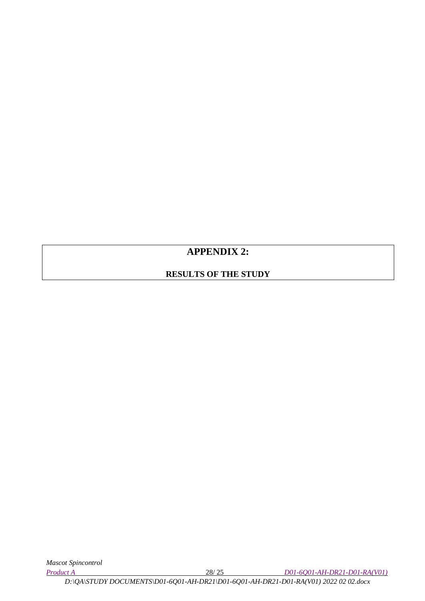# **APPENDIX 2:**

# **RESULTS OF THE STUDY**

*Product A* 28/ 25 *D01-6Q01-AH-DR21-D01-RA(V01)*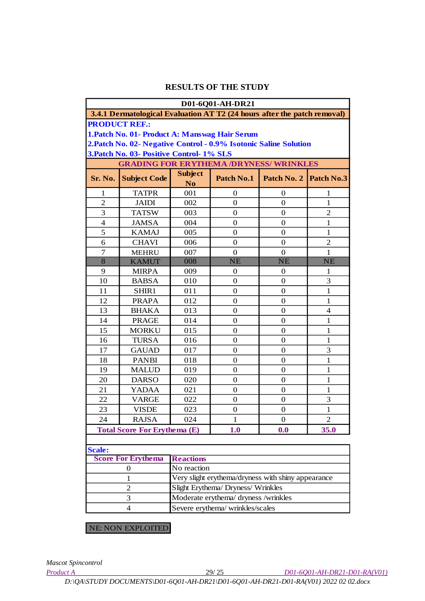|                                                                    |                                                                          |                       | D01-6Q01-AH-DR21 |                  |                |
|--------------------------------------------------------------------|--------------------------------------------------------------------------|-----------------------|------------------|------------------|----------------|
|                                                                    | 3.4.1 Dermatological Evaluation AT T2 (24 hours after the patch removal) |                       |                  |                  |                |
|                                                                    | <b>PRODUCT REF.:</b>                                                     |                       |                  |                  |                |
|                                                                    | 1. Patch No. 01- Product A: Manswag Hair Serum                           |                       |                  |                  |                |
|                                                                    | 2. Patch No. 02- Negative Control - 0.9% Isotonic Saline Solution        |                       |                  |                  |                |
|                                                                    | 3. Patch No. 03- Positive Control- 1% SLS                                |                       |                  |                  |                |
|                                                                    | <b>GRADING FOR ERYTHEMA /DRYNESS/ WRINKLES</b>                           |                       |                  |                  |                |
| Sr. No.                                                            | <b>Subject Code</b>                                                      | <b>Subject</b>        | Patch No.1       | Patch No. 2      | Patch No.3     |
| 1                                                                  | <b>TATPR</b>                                                             | N <sub>o</sub><br>001 | $\boldsymbol{0}$ | $\boldsymbol{0}$ | 1              |
| $\overline{2}$                                                     | <b>JAIDI</b>                                                             | 002                   | $\Omega$         | 0                | 1              |
| 3                                                                  | <b>TATSW</b>                                                             | 003                   | 0                | $\mathbf{0}$     | $\overline{2}$ |
| $\overline{4}$                                                     | <b>JAMSA</b>                                                             | 004                   | $\boldsymbol{0}$ | $\mathbf{0}$     | 1              |
| 5                                                                  | <b>KAMAJ</b>                                                             | 005                   | $\boldsymbol{0}$ | $\mathbf{0}$     | 1              |
| 6                                                                  | <b>CHAVI</b>                                                             | 006                   | $\boldsymbol{0}$ | $\boldsymbol{0}$ | $\overline{c}$ |
| 7                                                                  | <b>MEHRU</b>                                                             | 007                   | $\boldsymbol{0}$ | $\mathbf{0}$     | 1              |
| $\overline{8}$                                                     | <b>KAMUT</b>                                                             | 008                   | <b>NE</b>        | <b>NE</b>        | <b>NE</b>      |
| 9                                                                  | <b>MIRPA</b>                                                             | 009                   | $\boldsymbol{0}$ | $\mathbf{0}$     | 1              |
| 10                                                                 | <b>BABSA</b>                                                             | 010                   | $\boldsymbol{0}$ | $\mathbf{0}$     | 3              |
| 11                                                                 | SHIR1                                                                    | 011                   | 0                | 0                | 1              |
| 12                                                                 | <b>PRAPA</b>                                                             | 012                   | $\boldsymbol{0}$ | $\mathbf{0}$     | 1              |
| 13                                                                 | <b>BHAKA</b>                                                             | 013                   | $\boldsymbol{0}$ | $\mathbf{0}$     | $\overline{4}$ |
| 14                                                                 | <b>PRAGE</b>                                                             | 014                   | $\boldsymbol{0}$ | $\mathbf{0}$     | 1              |
| 15                                                                 | <b>MORKU</b>                                                             | 015                   | 0                | $\boldsymbol{0}$ | 1              |
| 16                                                                 | <b>TURSA</b>                                                             | 016                   | $\Omega$         | $\mathbf{0}$     | $\mathbf{1}$   |
| 17                                                                 | <b>GAUAD</b>                                                             | 017                   | 0                | $\theta$         | 3              |
| 18                                                                 | <b>PANBI</b>                                                             | 018                   | $\boldsymbol{0}$ | $\mathbf{0}$     | 1              |
| 19                                                                 | <b>MALUD</b>                                                             | 019                   | $\boldsymbol{0}$ | $\boldsymbol{0}$ | 1              |
| 20                                                                 | <b>DARSO</b>                                                             | 020                   | $\boldsymbol{0}$ | $\boldsymbol{0}$ | $\mathbf{1}$   |
| 21                                                                 | <b>YADAA</b>                                                             | 021                   | $\boldsymbol{0}$ | $\mathbf{0}$     | $\mathbf{1}$   |
| 22                                                                 | <b>VARGE</b>                                                             | 022                   | $\boldsymbol{0}$ | $\mathbf{0}$     | 3              |
| 23                                                                 | <b>VISDE</b>                                                             | 023                   | $\boldsymbol{0}$ | $\mathbf{0}$     | $\mathbf{1}$   |
| 24                                                                 | <b>RAJSA</b>                                                             | 024                   | 1                | 0                | 2              |
|                                                                    | <b>Total Score For Erythema (E)</b>                                      |                       | 1.0              | 0.0              | 35.0           |
|                                                                    |                                                                          |                       |                  |                  |                |
| <b>Scale:</b>                                                      |                                                                          |                       |                  |                  |                |
|                                                                    | <b>Score For Erythema</b>                                                | <b>Reactions</b>      |                  |                  |                |
|                                                                    | 0                                                                        | No reaction           |                  |                  |                |
| Very slight erythema/dryness with shiny appearance<br>$\mathbf{1}$ |                                                                          |                       |                  |                  |                |

Severe erythema/ wrinkles/scales 2 Slight Erythema/ Dryness/ Wrinkles 3 Moderate erythema/ dryness /wrinkles 4

NE: NON EXPLOITED

*Mascot Spincontrol* 

*Product A* 29/ 25 *D01-6Q01-AH-DR21-D01-RA(V01)*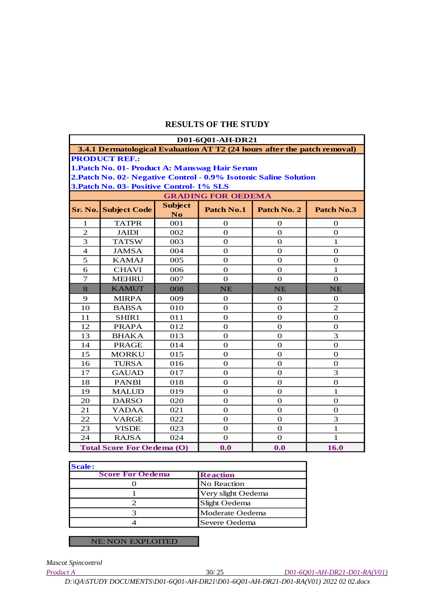|                                   | D01-6Q01-AH-DR21                                                         |                                  |                           |                |                |
|-----------------------------------|--------------------------------------------------------------------------|----------------------------------|---------------------------|----------------|----------------|
|                                   | 3.4.1 Dermatological Evaluation AT T2 (24 hours after the patch removal) |                                  |                           |                |                |
|                                   | <b>PRODUCT REF.:</b>                                                     |                                  |                           |                |                |
|                                   | 1. Patch No. 01- Product A: Manswag Hair Serum                           |                                  |                           |                |                |
|                                   | 2. Patch No. 02- Negative Control - 0.9% Isotonic Saline Solution        |                                  |                           |                |                |
|                                   | 3. Patch No. 03- Positive Control- 1% SLS                                |                                  |                           |                |                |
|                                   |                                                                          |                                  | <b>GRADING FOR OEDEMA</b> |                |                |
| Sr. No.                           | <b>Subject Code</b>                                                      | <b>Subject</b><br>N <sub>0</sub> | Patch No.1                | Patch No. 2    | Patch No.3     |
| 1                                 | <b>TATPR</b>                                                             | 001                              | 0                         | 0              | 0              |
| $\overline{2}$                    | <b>JAIDI</b>                                                             | 002                              | $\theta$                  | $\theta$       | $\mathbf{0}$   |
| 3                                 | <b>TATSW</b>                                                             | 003                              | $\Omega$                  | $\Omega$       | $\mathbf{1}$   |
| 4                                 | <b>JAMSA</b>                                                             | 004                              | 0                         | $\Omega$       | $\Omega$       |
| 5                                 | <b>KAMAJ</b>                                                             | 005                              | $\mathbf{O}$              | $\mathbf{O}$   | $\Omega$       |
| 6                                 | <b>CHAVI</b>                                                             | 006                              | $\mathbf{O}$              | $\mathbf{O}$   | $\mathbf{1}$   |
| $\overline{7}$                    | <b>MEHRU</b>                                                             | 007                              | $\mathbf 0$               | $\Omega$       | $\Omega$       |
| 8                                 | <b>KAMUT</b>                                                             | 008                              | <b>NE</b>                 | <b>NE</b>      | <b>NE</b>      |
| 9                                 | <b>MIRPA</b>                                                             | 009                              | $\theta$                  | $\theta$       | $\mathbf{0}$   |
| 10                                | <b>BABSA</b>                                                             | 010                              | $\mathbf 0$               | $\overline{0}$ | $\overline{c}$ |
| 11                                | SHIR1                                                                    | 011                              | $\theta$                  | $\Omega$       | $\Omega$       |
| 12                                | <b>PRAPA</b>                                                             | 012                              | $\theta$                  | $\theta$       | $\mathbf{0}$   |
| 13                                | <b>BHAKA</b>                                                             | 013                              | $\mathbf 0$               | $\Omega$       | 3              |
| 14                                | <b>PRAGE</b>                                                             | 014                              | $\Omega$                  | $\Omega$       | $\Omega$       |
| 15                                | <b>MORKU</b>                                                             | 015                              | $\mathbf{O}$              | $\Omega$       | $\Omega$       |
| 16                                | <b>TURSA</b>                                                             | 016                              | $\overline{0}$            | $\mathbf{O}$   | $\overline{0}$ |
| 17                                | <b>GAUAD</b>                                                             | 017                              | $\mathbf 0$               | $\Omega$       | 3              |
| 18                                | <b>PANBI</b>                                                             | 018                              | $\mathbf 0$               | $\Omega$       | $\mathbf 0$    |
| 19                                | <b>MALUD</b>                                                             | 019                              | $\Omega$                  | $\mathbf{O}$   | $\mathbf{1}$   |
| 20                                | <b>DARSO</b>                                                             | 020                              | $\mathbf 0$               | $\Omega$       | $\Omega$       |
| 21                                | <b>YADAA</b>                                                             | 021                              | $\overline{0}$            | $\mathbf{O}$   | $\mathbf{0}$   |
| 22                                | <b>VARGE</b>                                                             | 022                              | $\mathbf 0$               | $\mathbf{O}$   | 3              |
| 23                                | <b>VISDE</b>                                                             | 023                              | $\mathbf 0$               | $\theta$       | $\mathbf{1}$   |
| 24                                | <b>RAJSA</b>                                                             | 024                              | $\mathbf{O}$              | $\mathbf{O}$   | 1              |
| <b>Total Score For Oedema (O)</b> |                                                                          |                                  | 0.0                       | 0.0            | 16.0           |

| <b>Scale:</b>           |                    |
|-------------------------|--------------------|
| <b>Score For Oedema</b> | <b>Reaction</b>    |
|                         | No Reaction        |
|                         | Very slight Oedema |
|                         | Slight Oedema      |
|                         | Moderate Oedema    |
|                         | Severe Oedema      |

NE: NON EXPLOITED

*Mascot Spincontrol* 

l

*Product A* 30/ 25 *D01-6Q01-AH-DR21-D01-RA(V01)*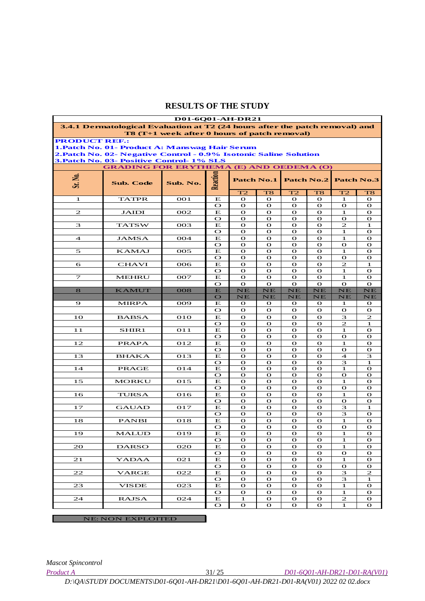|                      |                                                                              | <b>D01-6Q01-AH-DR21</b>                             |                        |                              |                   |                              |                              |                     |                              |
|----------------------|------------------------------------------------------------------------------|-----------------------------------------------------|------------------------|------------------------------|-------------------|------------------------------|------------------------------|---------------------|------------------------------|
|                      | 3.4.1 Dermatological Evaluation at T2 (24 hours after the patch removal) and |                                                     |                        |                              |                   |                              |                              |                     |                              |
| <b>PRODUCT REF.:</b> |                                                                              | <b>T8 (T+1 week after 0 hours of patch removal)</b> |                        |                              |                   |                              |                              |                     |                              |
|                      | 1. Patch No. 01- Product A: Manswag Hair Serum                               |                                                     |                        |                              |                   |                              |                              |                     |                              |
|                      | 2. Patch No. 02- Negative Control - 0.9% Isotonic Saline Solution            |                                                     |                        |                              |                   |                              |                              |                     |                              |
|                      | <b>3. Patch No. 03- Positive Control- 1% SLS</b>                             |                                                     |                        |                              |                   |                              |                              |                     |                              |
|                      | <b>GRADING FOR ERYTHEMA (E) AND OEDEMA (O)</b>                               |                                                     |                        |                              |                   |                              |                              |                     |                              |
| Sr. No.              |                                                                              |                                                     | Reaction               | <b>Patch No.1</b>            |                   |                              | <b>Patch No.2</b>            | <b>Patch No.3</b>   |                              |
|                      | Sub. Code                                                                    | Sub. No.                                            |                        |                              |                   |                              |                              |                     |                              |
|                      |                                                                              |                                                     |                        | T2                           | T <sub>8</sub>    | T2                           | T <sub>8</sub>               | T2                  | T <sub>8</sub>               |
| 1                    | <b>TATPR</b>                                                                 | <b>OO1</b>                                          | Е                      | $\mathbf{o}$                 | $\mathbf{o}$      | $\mathbf{o}$                 | $\mathbf{o}$                 | 1                   | $\mathbf{o}$                 |
|                      |                                                                              |                                                     | $\mathbf{\Omega}$<br>Е | $\mathbf{o}$<br>$\mathbf{o}$ | $\mathbf{o}$<br>О | $\mathbf{o}$                 | $\mathbf{o}$                 | О                   | $\mathbf{o}$                 |
| $\mathbf{z}$         | JAIDI                                                                        | 002                                                 | $\mathbf{\Omega}$      | $\mathbf{o}$                 | $\mathbf{o}$      | О<br>$\mathbf{o}$            | $\mathbf{o}$<br>$\mathbf{o}$ | 1<br>$\mathbf{o}$   | $\mathbf o$<br>$\mathbf{o}$  |
| 3                    | <b>TATSW</b>                                                                 | 003                                                 | Е                      | $\mathbf{o}$                 | О                 | $\mathbf{o}$                 | $\mathbf{o}$                 | 2                   | 1                            |
|                      |                                                                              |                                                     | $\circ$                | $\mathbf{o}$                 | $\mathbf{o}$      | $\mathbf{o}$                 | $\mathbf{o}$                 | 1                   | $\mathbf{o}$                 |
| 4                    | JAMSA                                                                        | 004                                                 | Е                      | $\mathbf{o}$                 | О                 | $\mathbf{o}$                 | $\mathbf{o}$                 | 1                   | $\mathbf{o}$                 |
|                      |                                                                              |                                                     | $\mathbf O$            | $\mathbf{o}$                 | $\mathbf{o}$      | $\mathbf{o}$                 | $\mathbf{o}$                 | $\mathbf{o}$        | $\mathbf{o}$                 |
| 5                    | KAMAJ                                                                        | 005                                                 | Е                      | $\mathbf{o}$                 | О                 | $\mathbf{o}$                 | $\mathbf{o}$                 | 1                   | О                            |
| 6                    | CHAVI                                                                        | 006                                                 | $\mathbf{\Omega}$<br>Е | $\mathbf{o}$<br>$\mathbf{o}$ | $\mathbf{o}$<br>О | $\mathbf{o}$<br>$\mathbf{o}$ | $\mathbf{o}$<br>$\mathbf{o}$ | О<br>2              | $\mathbf{o}$<br>1            |
|                      |                                                                              |                                                     | $\mathbf{\Omega}$      | $\mathbf{o}$                 | $\mathbf{o}$      | $\mathbf{o}$                 | $\mathbf{o}$                 | 1                   | $\mathbf{o}$                 |
| $\tau$               | <b>MEHRU</b>                                                                 | 007                                                 | Е                      | $\mathbf{o}$                 | $\mathbf{o}$      | $\mathbf{o}$                 | $\mathbf{o}$                 | 1                   | $\mathbf{o}$                 |
|                      |                                                                              |                                                     | $\bullet$              | $\mathbf{o}$                 | $\mathbf{o}$      | $\mathbf{o}$                 | $\mathbf{o}$                 | $\mathbf{o}$        | $\Omega$                     |
| 8                    | <b>KAMUT</b>                                                                 | 008                                                 | $\mathbf{E}$           | NE                           | NE                | NE                           | NE                           | NE                  | NE                           |
|                      |                                                                              |                                                     | $\mathbf O$            | NE                           | $_{\rm NE}$       | NE                           | NE                           | NE                  | $_{\rm NE}$                  |
| 9                    | <b>MIRPA</b>                                                                 | 009                                                 | Е                      | О                            | О                 | $\mathbf{o}$                 | $\mathbf{o}$                 | 1                   | О                            |
| 10                   | <b>BABSA</b>                                                                 | <b>O10</b>                                          | $\mathbf{\Omega}$<br>Е | $\mathbf{o}$<br>$\mathbf{o}$ | О<br>$\mathbf{o}$ | О<br>$\mathbf{o}$            | $\mathbf{o}$<br>$\mathbf{o}$ | О<br>3              | $\mathbf{o}$<br>2            |
|                      |                                                                              |                                                     | $\mathbf{\Omega}$      | $\mathbf{o}$                 | О                 | $\mathbf{o}$                 | $\mathbf{o}$                 | 2                   | 1                            |
| 11                   | SHIR1                                                                        | O11                                                 | Е                      | $\mathbf{o}$                 | $\mathbf{o}$      | $\mathbf{o}$                 | $\mathbf{o}$                 | 1                   | $\mathbf{o}$                 |
|                      |                                                                              |                                                     | $\mathbf{\Omega}$      | $\mathbf{o}$                 | $\mathbf{o}$      | $\mathbf{o}$                 | $\mathbf{o}$                 | О                   | $\mathbf{o}$                 |
| 12                   | PRAPA                                                                        | 012                                                 | Е                      | $\mathbf{o}$                 | $\mathbf{o}$      | $\mathbf{o}$                 | $\mathbf{o}$                 | 1                   | $\mathbf{o}$                 |
|                      |                                                                              |                                                     | $\mathbf{\Omega}$      | $\mathbf{o}$                 | О                 | $\mathbf{o}$                 | $\mathbf{o}$                 | О                   | $\mathbf{o}$                 |
| 13                   | BHAKA                                                                        | 013                                                 | Е<br>$\mathbf{\Omega}$ | $\mathbf{o}$<br>$\mathbf{o}$ | $\mathbf{o}$<br>О | $\mathbf{o}$<br>$\mathbf{o}$ | $\mathbf{o}$<br>$\mathbf{o}$ | $\overline{4}$<br>З | 3<br>1                       |
| 14                   | PRAGE                                                                        | 014                                                 | Е                      | $\mathbf{o}$                 | О                 | $\mathbf{o}$                 | $\mathbf{o}$                 | 1                   | О                            |
|                      |                                                                              |                                                     | $\mathbf{\Omega}$      | $\mathbf{o}$                 | $\mathbf{o}$      | $\mathbf{o}$                 | $\mathbf{o}$                 | О                   | О                            |
| 15                   | MORKU                                                                        | 015                                                 | Е                      | $\mathbf{o}$                 | $\mathbf{o}$      | $\mathbf{o}$                 | $\mathbf{o}$                 | 1                   | $\mathbf{o}$                 |
|                      |                                                                              |                                                     | $\mathbf{\Omega}$      | $\mathbf{o}$                 | О                 | $\mathbf{o}$                 | $\mathbf{o}$                 | О                   | О                            |
| 16                   | TURSA                                                                        | 016                                                 | Е<br>$\mathbf{\Omega}$ | $\mathbf{o}$                 | $\mathbf{o}$<br>О | $\mathbf{o}$<br>$\mathbf{o}$ | $\mathbf{o}$<br>$\mathbf{o}$ | 1                   | $\mathbf{o}$<br>$\mathbf{o}$ |
| 17                   | GAUAD                                                                        | 017                                                 | Е                      | $\mathbf{o}$<br>$\mathbf{o}$ | $\mathbf{o}$      | $\mathbf{o}$                 | $\mathbf{o}$                 | О<br>3              | 1                            |
|                      |                                                                              |                                                     | $\mathbf{\Omega}$      | $\mathbf{o}$                 | О                 | О                            | $\mathbf{o}$                 | З                   | О                            |
| 18                   | <b>PANBI</b>                                                                 | 018                                                 | Е                      | $\mathbf{o}$                 | $\mathbf{o}$      | $\mathbf{o}$                 | $\mathbf{o}$                 | 1                   | $\mathbf{o}$                 |
|                      |                                                                              |                                                     | $\mathbf{\Omega}$      | О                            | О                 | О                            | $\mathbf{o}$                 | О                   | $\mathbf{o}$                 |
| <u>19</u>            | <b>MALUD</b>                                                                 | 019                                                 | Е                      | $\mathbf{o}$                 | О                 | $\mathbf O$                  | $\mathbf{o}$                 | 1                   | О                            |
|                      |                                                                              |                                                     | $\bullet$              | $\mathbf{o}$                 | О                 | $\mathbf{o}$                 | $\mathbf{o}$                 | 1                   | $\mathbf{o}$                 |
| 20                   | <b>DARSO</b>                                                                 | 020                                                 | Е<br>$\bullet$         | $\mathbf{o}$<br>$\mathbf{o}$ | О<br>О            | $\mathbf{o}$<br>$\mathbf{o}$ | $\mathbf{o}$<br>$\mathbf{o}$ | 1<br>О              | $\mathbf{o}$<br>$\mathbf{o}$ |
| 21                   | <b>YADAA</b>                                                                 | 021                                                 | Е                      | $\mathbf{o}$                 | $\mathbf{o}$      | $\mathbf{o}$                 | $\mathbf{o}$                 | 1                   | $\mathbf{o}$                 |
|                      |                                                                              |                                                     | $\bullet$              | $\mathbf{o}$                 | $\mathbf{o}$      | $\mathbf{o}$                 | $\mathbf{o}$                 | О                   | $\mathbf{o}$                 |
| 22                   | <b>VARGE</b>                                                                 | 022                                                 | Е                      | $\mathbf{o}$                 | $\mathbf{o}$      | $\mathbf{o}$                 | $\mathbf{o}$                 | 3                   | 2                            |
|                      |                                                                              |                                                     | $\bullet$              | О                            | $\mathbf{o}$      | $\mathbf{o}$                 | $\mathbf{o}$                 | 3                   | 1                            |
| 23                   | VISDE                                                                        | 023                                                 | Е                      | $\mathbf{o}$                 | О                 | $\mathbf{o}$                 | $\mathbf{o}$                 | 1                   | $\mathbf{o}$                 |
| 24                   | <b>RAJSA</b>                                                                 | 024                                                 | $\bullet$<br>Е         | $\mathbf{o}$<br>1            | $\mathbf{o}$<br>О | $\mathbf{o}$<br>О            | $\mathbf{o}$<br>$\mathbf{o}$ | $\mathbf{1}$<br>2   | $\mathbf{o}$<br>$\mathbf{o}$ |
|                      |                                                                              |                                                     | $\bullet$              | О                            | $\mathbf{o}$      | $\mathbf{o}$                 | $\mathbf{o}$                 | 1                   | $\mathbf{o}$                 |
|                      |                                                                              |                                                     |                        |                              |                   |                              |                              |                     |                              |
|                      | <b>NE: NON EXPLOITED</b>                                                     |                                                     |                        |                              |                   |                              |                              |                     |                              |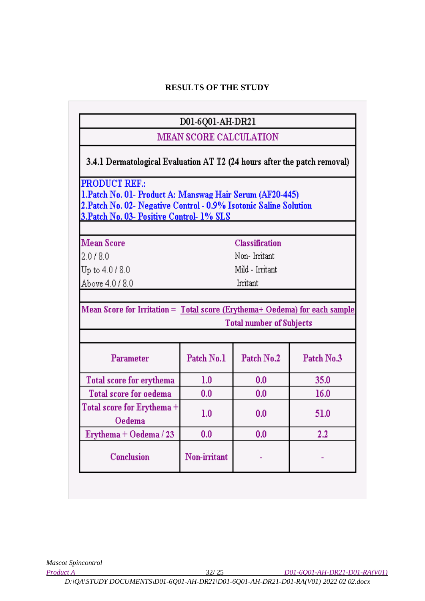# D01-6Q01-AH-DR21

# MEAN SCORE CALCULATION

3.4.1 Dermatological Evaluation AT T2 (24 hours after the patch removal)

**PRODUCT REF.:** 

1.Patch No. 01- Product A: Manswag Hair Serum (AF20-445) 2. Patch No. 02- Negative Control - 0.9% Isotonic Saline Solution 3. Patch No. 03- Positive Control- 1% SLS

**Mean Score** 

 $2.018.0$ 

Up to 4.0/8.0

Above 4.0/8.0

**Classification** 

Non-Irritant

Mild - Irritant

Irritant

Mean Score for Irritation = Total score (Erythema+ Oedema) for each sample **Total number of Subjects** 

| Parameter                            | Patch No.1   | Patch No.2 | Patch No.3 |
|--------------------------------------|--------------|------------|------------|
| Total score for erythema             | 1.0          | 0.0        | 35.0       |
| <b>Total score for oedema</b>        | 0.0          | 0.0        | 16.0       |
| Total score for Erythema +<br>Oedema | 1.0          | 0.0        | 51.0       |
| Erythema + Oedema / 23               | 0.0          | 0.0        | 2.2        |
| Conclusion                           | Non-irritant |            |            |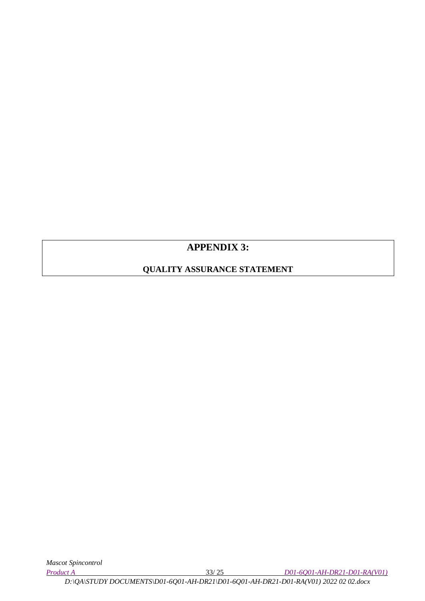# **APPENDIX 3:**

# **QUALITY ASSURANCE STATEMENT**

*Product A* 33/ 25 *D01-6Q01-AH-DR21-D01-RA(V01)*

*D:\QA\STUDY DOCUMENTS\D01-6Q01-AH-DR21\D01-6Q01-AH-DR21-D01-RA(V01) 2022 02 02.docx*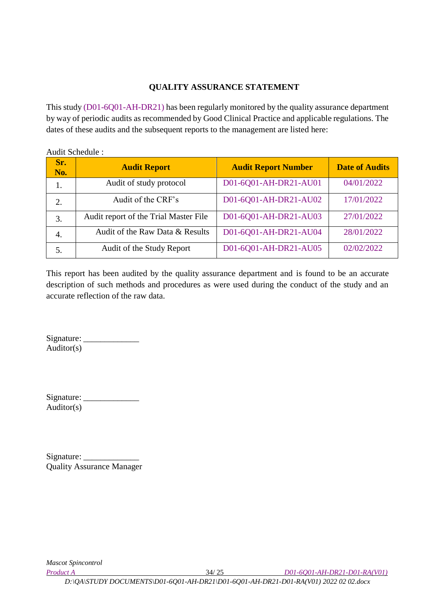### **QUALITY ASSURANCE STATEMENT**

This study (D01-6Q01-AH-DR21) has been regularly monitored by the quality assurance department by way of periodic audits as recommended by Good Clinical Practice and applicable regulations. The dates of these audits and the subsequent reports to the management are listed here:

Audit Schedule :

| Sr.<br>No. | <b>Audit Report</b>                   | <b>Audit Report Number</b> | <b>Date of Audits</b> |
|------------|---------------------------------------|----------------------------|-----------------------|
| 1.         | Audit of study protocol               | D01-6Q01-AH-DR21-AU01      | 04/01/2022            |
| 2.         | Audit of the CRF's                    | D01-6Q01-AH-DR21-AU02      | 17/01/2022            |
| 3.         | Audit report of the Trial Master File | D01-6Q01-AH-DR21-AU03      | 27/01/2022            |
| 4.         | Audit of the Raw Data & Results       | D01-6Q01-AH-DR21-AU04      | 28/01/2022            |
| 5.         | Audit of the Study Report             | D01-6Q01-AH-DR21-AU05      | 02/02/2022            |

This report has been audited by the quality assurance department and is found to be an accurate description of such methods and procedures as were used during the conduct of the study and an accurate reflection of the raw data.

Signature: \_\_\_\_\_\_\_\_\_\_\_\_\_ Auditor(s)

Signature: \_\_\_\_\_\_\_\_\_\_\_\_\_ Auditor(s)

| Signature: |                                  |
|------------|----------------------------------|
|            | <b>Quality Assurance Manager</b> |

*Mascot Spincontrol* 

*Product A* 34/ 25 *D01-6Q01-AH-DR21-D01-RA(V01)*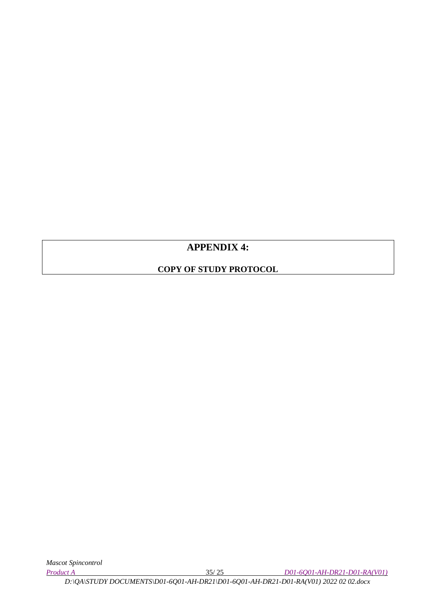# **APPENDIX 4:**

# **COPY OF STUDY PROTOCOL**

*Product A* 35/ 25 *D01-6Q01-AH-DR21-D01-RA(V01)*